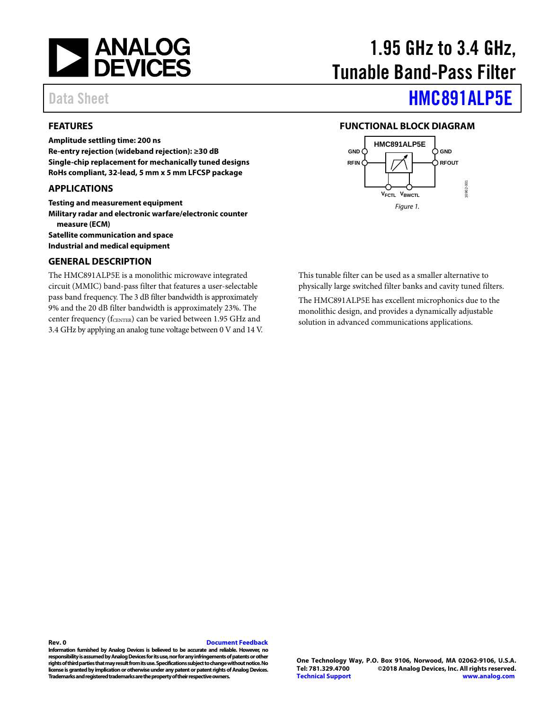

## <span id="page-0-0"></span>**FEATURES**

**Amplitude settling time: 200 ns Re-entry rejection (wideband rejection): ≥30 dB Single-chip replacement for mechanically tuned designs RoHs compliant, 32-lead, 5 mm x 5 mm LFCSP package**

#### <span id="page-0-1"></span>**APPLICATIONS**

**Testing and measurement equipment Military radar and electronic warfare/electronic counter measure (ECM) Satellite communication and space Industrial and medical equipment**

## <span id="page-0-3"></span>**GENERAL DESCRIPTION**

The HMC891ALP5E is a monolithic microwave integrated circuit (MMIC) band-pass filter that features a user-selectable pass band frequency. The 3 dB filter bandwidth is approximately 9% and the 20 dB filter bandwidth is approximately 23%. The center frequency ( $f_{\text{CENTER}}$ ) can be varied between 1.95 GHz and 3.4 GHz by applying an analog tune voltage between 0 V and 14 V.

# 1.95 GHz to 3.4 GHz, Tunable Band-Pass Filter

# Data Sheet **[HMC891ALP5E](http://www.analog.com/HMC891A?doc=HMC891ALP5E.pdf)**

#### <span id="page-0-2"></span>**FUNCTIONAL BLOCK DIAGRAM**



This tunable filter can be used as a smaller alternative to physically large switched filter banks and cavity tuned filters.

The HMC891ALP5E has excellent microphonics due to the monolithic design, and provides a dynamically adjustable solution in advanced communications applications.

**Rev. 0 [Document Feedback](https://form.analog.com/Form_Pages/feedback/documentfeedback.aspx?doc=HMC891ALP5E.pdf&product=HMC891ALP5E&rev=0) Information furnished by Analog Devices is believed to be accurate and reliable. However, no responsibility is assumed by Analog Devices for its use, nor for any infringements of patents or other rights of third parties that may result from its use. Specifications subject to change without notice. No license is granted by implication or otherwise under any patent orpatent rights of Analog Devices. Trademarks and registered trademarks are the property of their respective owners.**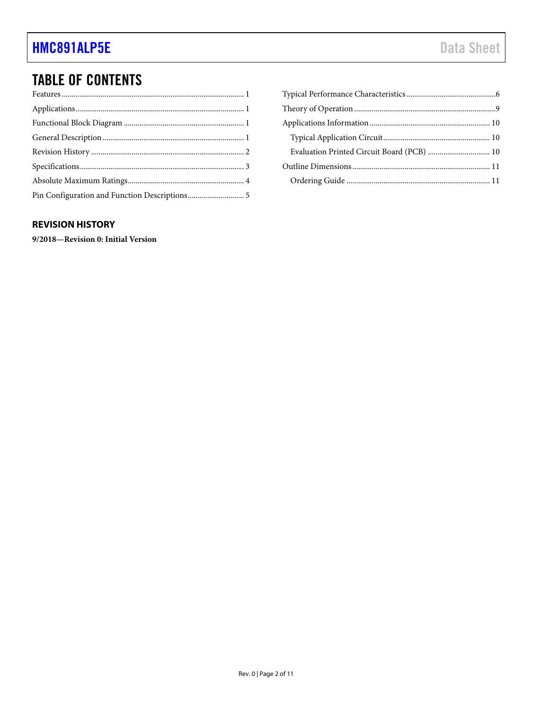## **TABLE OF CONTENTS**

| Evaluation Printed Circuit Board (PCB)  10 |  |
|--------------------------------------------|--|
|                                            |  |
|                                            |  |

## <span id="page-1-0"></span>**REVISION HISTORY**

9/2018-Revision 0: Initial Version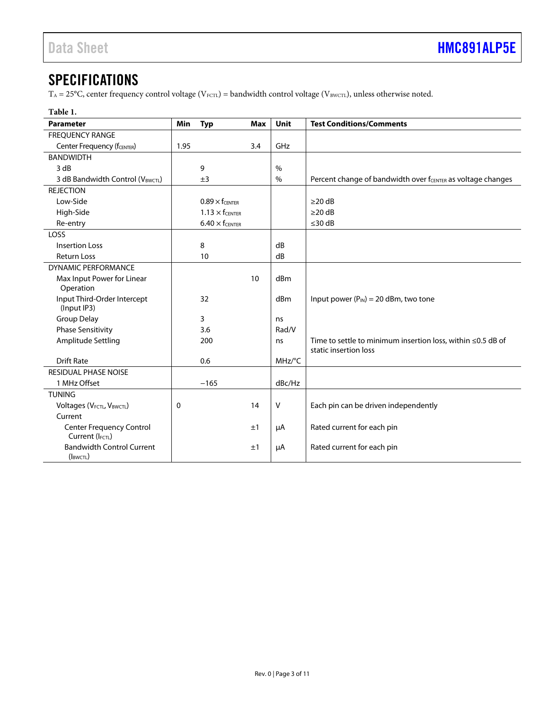## <span id="page-2-0"></span>**SPECIFICATIONS**

 $T_A = 25^{\circ}C,$  center frequency control voltage (V<sub>FCTL</sub>) = bandwidth control voltage (V<sub>BWCTL</sub>), unless otherwise noted.

| Table 1.                                           |      |                          |            |        |                                                                                            |  |
|----------------------------------------------------|------|--------------------------|------------|--------|--------------------------------------------------------------------------------------------|--|
| <b>Parameter</b>                                   | Min  | <b>Typ</b>               | <b>Max</b> | Unit   | <b>Test Conditions/Comments</b>                                                            |  |
| <b>FREQUENCY RANGE</b>                             |      |                          |            |        |                                                                                            |  |
| Center Frequency (fCENTER)                         | 1.95 |                          | 3.4        | GHz    |                                                                                            |  |
| <b>BANDWIDTH</b>                                   |      |                          |            |        |                                                                                            |  |
| 3 dB                                               |      | 9                        |            | $\%$   |                                                                                            |  |
| 3 dB Bandwidth Control (V <sub>BWCTL</sub> )       |      | $\pm$ 3                  |            | $\%$   | Percent change of bandwidth over f <sub>CENTER</sub> as voltage changes                    |  |
| <b>REJECTION</b>                                   |      |                          |            |        |                                                                                            |  |
| Low-Side                                           |      | $0.89 \times$ fcenter    |            |        | $\geq$ 20 dB                                                                               |  |
| High-Side                                          |      | $1.13 \times f_{CENTER}$ |            |        | $\geq$ 20 dB                                                                               |  |
| Re-entry                                           |      | $6.40 \times f_{CENTER}$ |            |        | $\leq$ 30 dB                                                                               |  |
| LOSS                                               |      |                          |            |        |                                                                                            |  |
| Insertion Loss                                     |      | 8                        |            | dB     |                                                                                            |  |
| <b>Return Loss</b>                                 |      | 10                       |            | dB     |                                                                                            |  |
| DYNAMIC PERFORMANCE                                |      |                          |            |        |                                                                                            |  |
| Max Input Power for Linear<br>Operation            |      |                          | 10         | dBm    |                                                                                            |  |
| Input Third-Order Intercept<br>(Input IP3)         |      | 32                       |            | dBm    | Input power $(P_{IN}) = 20$ dBm, two tone                                                  |  |
| <b>Group Delay</b>                                 |      | 3                        |            | ns     |                                                                                            |  |
| <b>Phase Sensitivity</b>                           |      | 3.6                      |            | Rad/V  |                                                                                            |  |
| Amplitude Settling                                 |      | 200                      |            | ns     | Time to settle to minimum insertion loss, within $\leq$ 0.5 dB of<br>static insertion loss |  |
| <b>Drift Rate</b>                                  |      | 0.6                      |            | MHz/°C |                                                                                            |  |
| RESIDUAL PHASE NOISE                               |      |                          |            |        |                                                                                            |  |
| 1 MHz Offset                                       |      | $-165$                   |            | dBc/Hz |                                                                                            |  |
| <b>TUNING</b>                                      |      |                          |            |        |                                                                                            |  |
| Voltages (VFCTL, VBWCTL)                           | 0    |                          | 14         | v      | Each pin can be driven independently                                                       |  |
| Current                                            |      |                          |            |        |                                                                                            |  |
| <b>Center Frequency Control</b><br>Current (IFCTL) |      |                          | ±1         | μA     | Rated current for each pin                                                                 |  |
| <b>Bandwidth Control Current</b><br>(IBWCTL)       |      |                          | ±1         | μA     | Rated current for each pin                                                                 |  |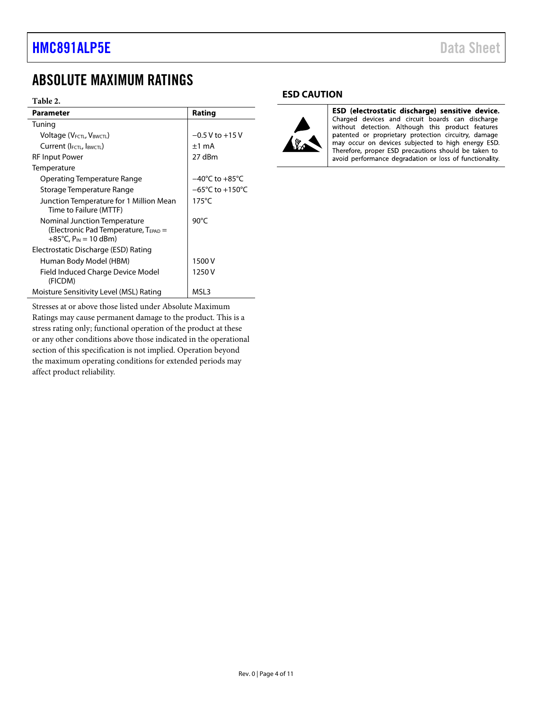## <span id="page-3-0"></span>ABSOLUTE MAXIMUM RATINGS

#### **Table 2.**

| <b>Parameter</b>                                                                                              | Rating                              |
|---------------------------------------------------------------------------------------------------------------|-------------------------------------|
| Tuning                                                                                                        |                                     |
| Voltage (V <sub>FCTL</sub> , V <sub>BWCTL</sub> )                                                             | $-0.5$ V to $+15$ V                 |
| Current (IFCTL, IBWCTL)                                                                                       | $±1$ mA                             |
| RF Input Power                                                                                                | 27 dBm                              |
| Temperature                                                                                                   |                                     |
| Operating Temperature Range                                                                                   | $-40^{\circ}$ C to $+85^{\circ}$ C  |
| Storage Temperature Range                                                                                     | $-65^{\circ}$ C to $+150^{\circ}$ C |
| Junction Temperature for 1 Million Mean<br>Time to Failure (MTTF)                                             | $175^{\circ}$ C                     |
| Nominal Junction Temperature<br>(Electronic Pad Temperature, $T_{\text{FPAD}} =$<br>+85°C, $P_{IN}$ = 10 dBm) | $90^{\circ}$ C                      |
| Electrostatic Discharge (ESD) Rating                                                                          |                                     |
| Human Body Model (HBM)                                                                                        | 1500 V                              |
| Field Induced Charge Device Model<br>(FICDM)                                                                  | 1250 V                              |
| Moisture Sensitivity Level (MSL) Rating                                                                       | MSL3                                |

Stresses at or above those listed under Absolute Maximum Ratings may cause permanent damage to the product. This is a stress rating only; functional operation of the product at these or any other conditions above those indicated in the operational section of this specification is not implied. Operation beyond the maximum operating conditions for extended periods may affect product reliability.

#### **ESD CAUTION**



ESD (electrostatic discharge) sensitive device. Charged devices and circuit boards can discharge<br>without detection. Although this product features minus a content of proprietary protection circuitry, damage<br>may occur on devices subjected to high energy ESD.<br>Therefore, proper ESD precautions should be taken to avoid performance degradation or loss of functionality.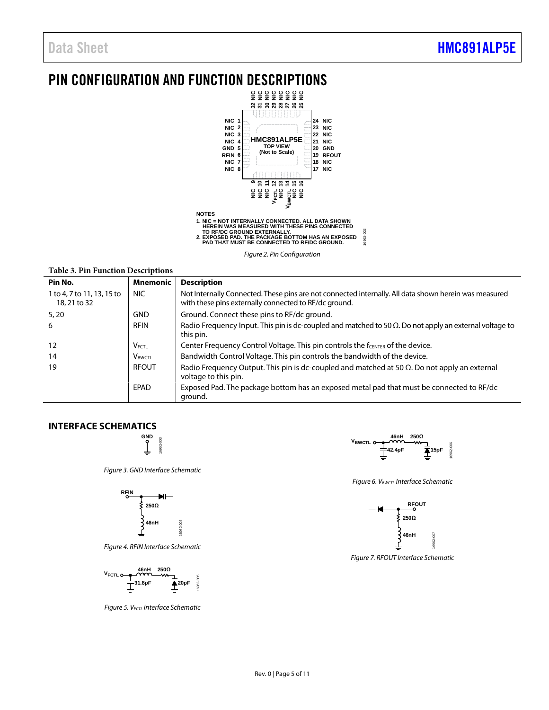## <span id="page-4-0"></span>PIN CONFIGURATION AND FUNCTION DESCRIPTIONS



*Figure 2. Pin Configuration*

**Table 3. Pin Function Descriptions**

| Pin No.                                    | <b>Mnemonic</b>           | <b>Description</b>                                                                                                                                             |
|--------------------------------------------|---------------------------|----------------------------------------------------------------------------------------------------------------------------------------------------------------|
| 1 to 4, 7 to 11, 13, 15 to<br>18, 21 to 32 | NIC.                      | Not Internally Connected. These pins are not connected internally. All data shown herein was measured<br>with these pins externally connected to RF/dc ground. |
| 5,20                                       | <b>GND</b>                | Ground. Connect these pins to RF/dc ground.                                                                                                                    |
| 6                                          | <b>RFIN</b>               | Radio Frequency Input. This pin is dc-coupled and matched to 50 $\Omega$ . Do not apply an external voltage to<br>this pin.                                    |
| 12                                         | <b>VFCTL</b>              | Center Frequency Control Voltage. This pin controls the fCENTER of the device.                                                                                 |
| 14                                         | <b>V</b> <sub>BWCTL</sub> | Bandwidth Control Voltage. This pin controls the bandwidth of the device.                                                                                      |
| 19                                         | <b>RFOUT</b>              | Radio Frequency Output. This pin is dc-coupled and matched at $50 \Omega$ . Do not apply an external<br>voltage to this pin.                                   |
|                                            | EPAD                      | Exposed Pad. The package bottom has an exposed metal pad that must be connected to RF/dc<br>ground.                                                            |

#### **INTERFACE SCHEMATICS**



*Figure 3. GND Interface Schematic*



*Figure 4. RFIN Interface Schematic*



*Figure 5. VFCTL Interface Schematic*



16962-002

16962-002

*Figure 6. VBWCTL Interface Schematic*



*Figure 7. RFOUT Interface Schematic*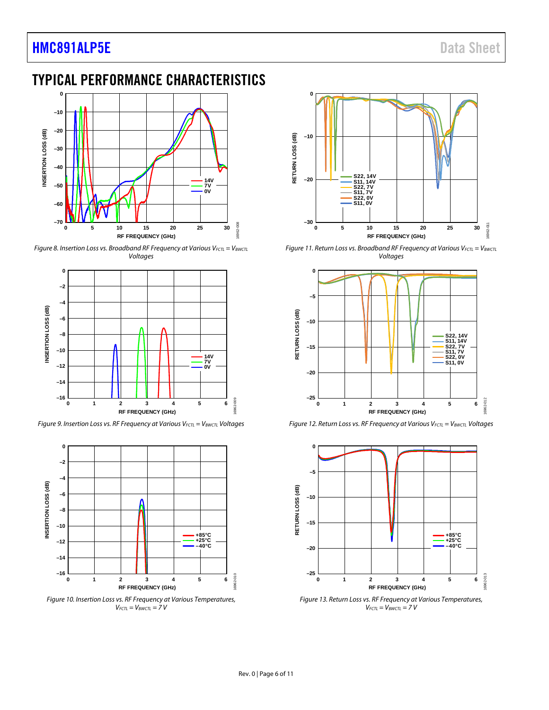## **[HMC891ALP5E](http://www.analog.com/HMC891A?doc=HMC891ALP5E.pdf)** Data Sheet

## <span id="page-5-0"></span>TYPICAL PERFORMANCE CHARACTERISTICS



*Figure 8. Insertion Loss vs. Broadband RF Frequency at Various V<sub>FCTL</sub> = V<sub>BWCTL</sub> Voltages*



*Figure 9. Insertion Loss vs. RF Frequency at Various V<sub>FCTL</sub> = V<sub>BWCTL</sub> Voltages* 



*Figure 10. Insertion Loss vs. RF Frequency at Various Temperatures, VFCTL = VBWCTL = 7 V*



*Figure 11. Return Loss vs. Broadband RF Frequency at Various V<sub>FCTL</sub> = V<sub>BWCTL</sub> Voltages*



*Figure 12. Return Loss vs. RF Frequency at Various V<sub>FCTL</sub> = V<sub>BWCTL</sub> Voltages* 



*Figure 13. Return Loss vs. RF Frequency at Various Temperatures, VFCTL = VBWCTL = 7 V*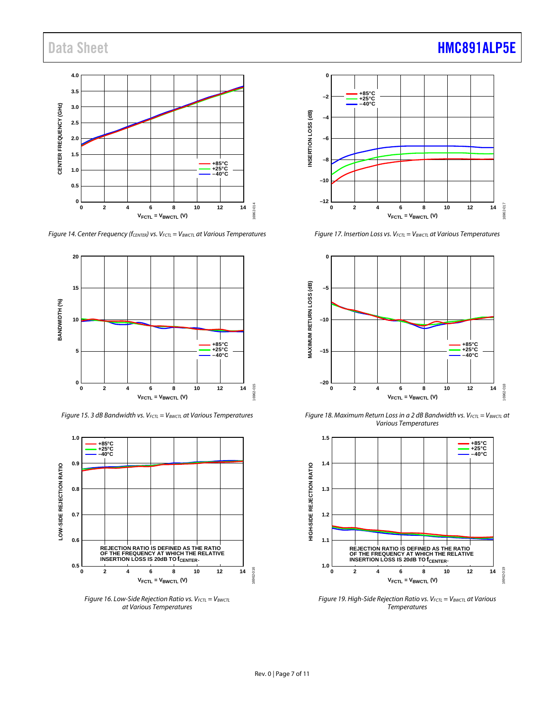#### **4.0 3.5 CENTER FREQUENCY (GHZ) CENTER FREQUENCY (GHz) 3.0 2.5 2.0 1.5 +85°C +25°C –40°C 1.0 0.5 0** 6962-014 16962-014 **0 2 4 6 8 10 12 14 VFCTL = VBWCTL (V)**

*Figure 14. Center Frequency* (*f<sub>CENTER</sub>*) *vs. V<sub>FCTL</sub>* = V<sub>BWCTL</sub> at Various Temperatures



*Figure 15. 3 dB Bandwidth vs. VFCTL = VBWCTL at Various Temperatures*



*Figure 16. Low-Side Rejection Ratio vs.*  $V_{FCTL} = V_{BWCTL}$ *at Various Temperatures*



*Figure 17. Insertion Loss vs. VFCTL = VBWCTL at Various Temperatures*



*Figure 18. Maximum Return Loss in a 2 dB Bandwidth vs. V<sub>FCTL</sub> = V<sub>BWCTL</sub> at Various Temperatures*



*Figure 19. High-Side Rejection Ratio vs.*  $V_{FCL} = V_{BWCL}$  *at Various Temperatures*

#### Rev. 0 | Page 7 of 11

## Data Sheet **[HMC891ALP5E](http://www.analog.com/HMC891A?doc=HMC891ALP5E.pdf)**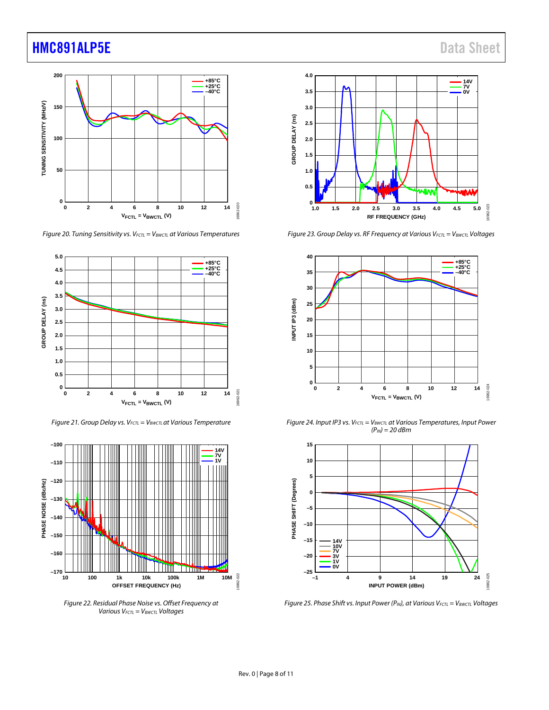## **[HMC891ALP5E](http://www.analog.com/HMC891A?doc=HMC891ALP5E.pdf)** Data Sheet



*Figure 20. Tuning Sensitivity vs. V<sub>FCTL</sub>* **= V<sub>BWCTL</sub> at Various Temperatures** 



*Figure 21. Group Delay vs. VFCTL = VBWCTL at Various Temperature*



*Figure 22. Residual Phase Noise vs. Offset Frequency at Various VFCTL = VBWCTL Voltages*



*Figure 23. Group Delay vs. RF Frequency at Various VFCTL = VBWCTL Voltages*



*Figure 24. Input IP3 vs. VFCTL = VBWCTL at Various Temperatures, Input Power (PIN) = 20 dBm*



*Figure 25. Phase Shift vs. Input Power (P<sub>IN</sub>), at Various V<sub>FCTL</sub> = V<sub>BWCTL</sub> Voltages*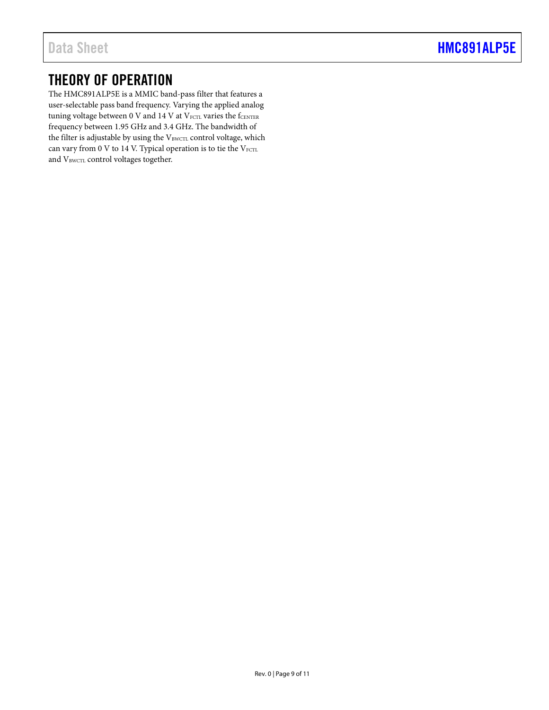## <span id="page-8-0"></span>THEORY OF OPERATION

The HMC891ALP5E is a MMIC band-pass filter that features a user-selectable pass band frequency. Varying the applied analog tuning voltage between 0 V and 14 V at  $V_{\text{FCTL}}$  varies the  $f_{\text{CBNTER}}$ frequency between 1.95 GHz and 3.4 GHz. The bandwidth of the filter is adjustable by using the VBWCTL control voltage, which can vary from 0 V to 14 V. Typical operation is to tie the  $V_{FCTL}$ and VBWCTL control voltages together.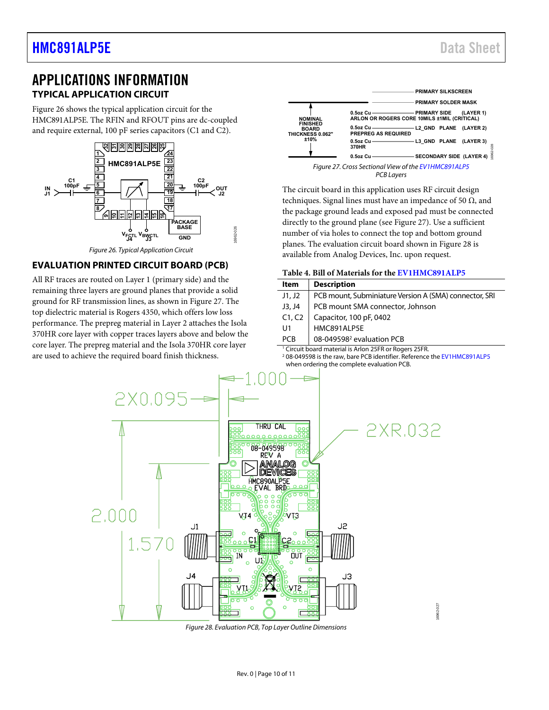## <span id="page-9-1"></span><span id="page-9-0"></span>APPLICATIONS INFORMATION **TYPICAL APPLICATION CIRCUIT**

[Figure 26 s](#page-9-3)hows the typical application circuit for the HMC891ALP5E. The RFIN and RFOUT pins are dc-coupled and require external, 100 pF series capacitors (C1 and C2).



#### Figure 26. Typical Application Circuit

#### <span id="page-9-3"></span><span id="page-9-2"></span>**EVALUATION PRINTED CIRCUIT BOARD (PCB)**

All RF traces are routed on Layer 1 (primary side) and the remaining three layers are ground planes that provide a solid ground for RF transmission lines, as shown in [Figure 27.](#page-9-4) The top dielectric material is Rogers 4350, which offers low loss performance. The prepreg material in Layer 2 attaches the Isola 370HR core layer with copper traces layers above and below the core layer. The prepreg material and the Isola 370HR core layer are used to achieve the required board finish thickness.



<span id="page-9-4"></span>The circuit board in this application uses RF circuit design techniques. Signal lines must have an impedance of 50  $Ω$ , and the package ground leads and exposed pad must be connected directly to the ground plane (see [Figure 27\)](#page-9-4). Use a sufficient number of via holes to connect the top and bottom ground planes. The evaluation circuit board shown in [Figure 28 i](#page-9-5)s available from Analog Devices, Inc. upon request.

|  |  | Table 4. Bill of Materials for the EV1HMC891ALP5 |  |  |  |  |
|--|--|--------------------------------------------------|--|--|--|--|
|--|--|--------------------------------------------------|--|--|--|--|

| <b>Item</b>                                                       | <b>Description</b>                                     |  |  |
|-------------------------------------------------------------------|--------------------------------------------------------|--|--|
| J1, J2                                                            | PCB mount, Subminiature Version A (SMA) connector, SRI |  |  |
| J3, J4                                                            | PCB mount SMA connector, Johnson                       |  |  |
| C1, C2                                                            | Capacitor, 100 pF, 0402                                |  |  |
| U1                                                                | HMC891ALP5E                                            |  |  |
| <b>PCB</b>                                                        | 08-049598 <sup>2</sup> evaluation PCB                  |  |  |
| <sup>1</sup> Circuit board material is Arlon 25ER or Rogers 25ER. |                                                        |  |  |

<sup>1</sup> Circuit board material is Arlon 25FR or Rogers 25FR.<br><sup>2</sup> 08-049598 is the raw, bare PCB identifier. Reference the <mark>EV1HMC891ALP5</mark> when ordering the complete evaluation PCB.



<span id="page-9-5"></span>Figure 28. Evaluation PCB, Top Layer Outline Dimensions

6962-027 16962-027